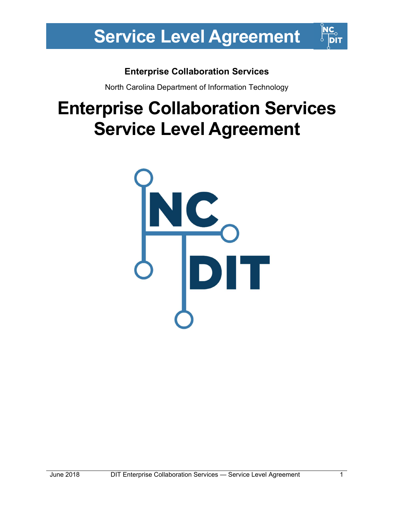## Enterprise Collaboration Services

North Carolina Department of Information Technology

## Enterprise Collaboration Services Service Level Agreement

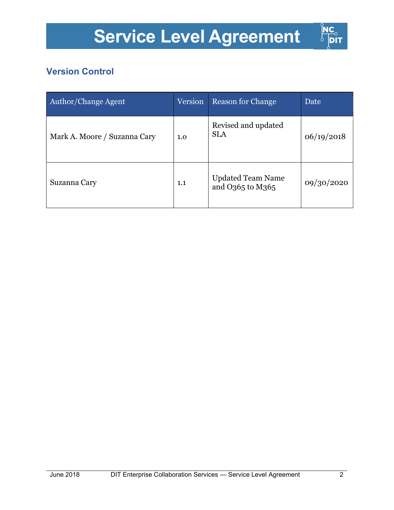

## Version Control

| <b>Author/Change Agent</b>   | Version | <b>Reason for Change</b>                     | Date       |
|------------------------------|---------|----------------------------------------------|------------|
| Mark A. Moore / Suzanna Cary | 1.0     | Revised and updated<br><b>SLA</b>            | 06/19/2018 |
| Suzanna Cary                 | 1.1     | <b>Updated Team Name</b><br>and O365 to M365 | 09/30/2020 |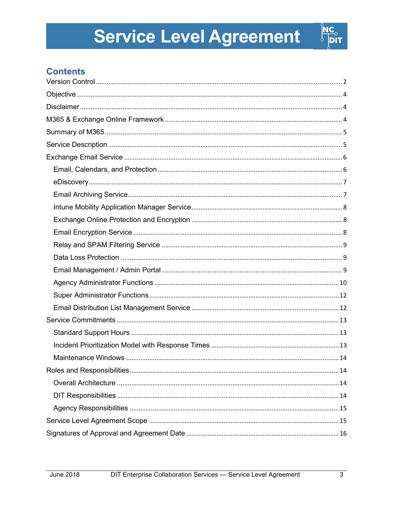

## **Contents**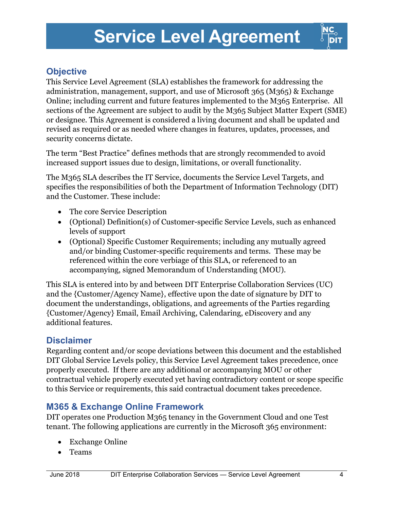

## **Objective**

This Service Level Agreement (SLA) establishes the framework for addressing the administration, management, support, and use of Microsoft 365 (M365) & Exchange Online; including current and future features implemented to the M365 Enterprise. All sections of the Agreement are subject to audit by the M365 Subject Matter Expert (SME) or designee. This Agreement is considered a living document and shall be updated and revised as required or as needed where changes in features, updates, processes, and security concerns dictate.

The term "Best Practice" defines methods that are strongly recommended to avoid increased support issues due to design, limitations, or overall functionality.

The M365 SLA describes the IT Service, documents the Service Level Targets, and specifies the responsibilities of both the Department of Information Technology (DIT) and the Customer. These include:

- The core Service Description
- (Optional) Definition(s) of Customer-specific Service Levels, such as enhanced levels of support
- (Optional) Specific Customer Requirements; including any mutually agreed and/or binding Customer-specific requirements and terms. These may be referenced within the core verbiage of this SLA, or referenced to an accompanying, signed Memorandum of Understanding (MOU).

This SLA is entered into by and between DIT Enterprise Collaboration Services (UC) and the {Customer/Agency Name}, effective upon the date of signature by DIT to document the understandings, obligations, and agreements of the Parties regarding {Customer/Agency} Email, Email Archiving, Calendaring, eDiscovery and any additional features.

### **Disclaimer**

Regarding content and/or scope deviations between this document and the established DIT Global Service Levels policy, this Service Level Agreement takes precedence, once properly executed. If there are any additional or accompanying MOU or other contractual vehicle properly executed yet having contradictory content or scope specific to this Service or requirements, this said contractual document takes precedence.

### M365 & Exchange Online Framework

DIT operates one Production M365 tenancy in the Government Cloud and one Test tenant. The following applications are currently in the Microsoft 365 environment:

- Exchange Online
- Teams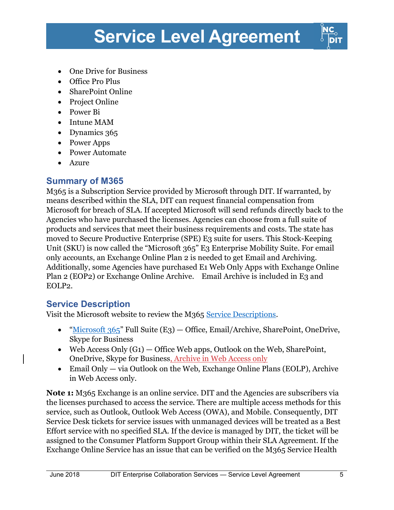- One Drive for Business
- Office Pro Plus
- SharePoint Online
- Project Online
- Power Bi
- Intune MAM
- Dynamics 365
- Power Apps
- Power Automate
- Azure

#### Summary of M365

M365 is a Subscription Service provided by Microsoft through DIT. If warranted, by means described within the SLA, DIT can request financial compensation from Microsoft for breach of SLA. If accepted Microsoft will send refunds directly back to the Agencies who have purchased the licenses. Agencies can choose from a full suite of products and services that meet their business requirements and costs. The state has moved to Secure Productive Enterprise (SPE) E3 suite for users. This Stock-Keeping Unit (SKU) is now called the "Microsoft 365" E3 Enterprise Mobility Suite. For email only accounts, an Exchange Online Plan 2 is needed to get Email and Archiving. Additionally, some Agencies have purchased E1 Web Only Apps with Exchange Online Plan 2 (EOP2) or Exchange Online Archive. Email Archive is included in E3 and EOLP2.

### Service Description

Visit the Microsoft website to review the M365 Service Descriptions.

- "Microsoft  $365$ " Full Suite (E3) Office, Email/Archive, SharePoint, OneDrive, Skype for Business
- Web Access Only  $(G_1)$  Office Web apps, Outlook on the Web, SharePoint, OneDrive, Skype for Business, Archive in Web Access only
- Email Only via Outlook on the Web, Exchange Online Plans (EOLP), Archive in Web Access only.

Note 1: M365 Exchange is an online service. DIT and the Agencies are subscribers via the licenses purchased to access the service. There are multiple access methods for this service, such as Outlook, Outlook Web Access (OWA), and Mobile. Consequently, DIT Service Desk tickets for service issues with unmanaged devices will be treated as a Best Effort service with no specified SLA. If the device is managed by DIT, the ticket will be assigned to the Consumer Platform Support Group within their SLA Agreement. If the Exchange Online Service has an issue that can be verified on the M365 Service Health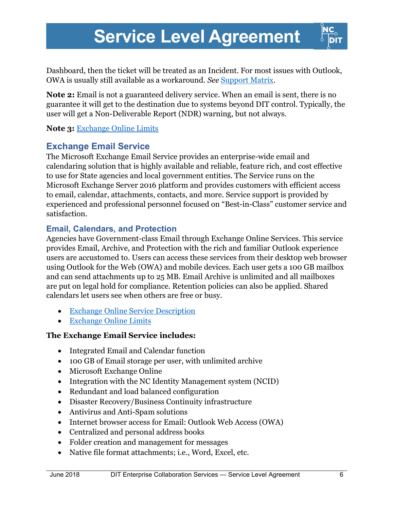

Dashboard, then the ticket will be treated as an Incident. For most issues with Outlook, OWA is usually still available as a workaround. See Support Matrix.

Note 2: Email is not a guaranteed delivery service. When an email is sent, there is no guarantee it will get to the destination due to systems beyond DIT control. Typically, the user will get a Non-Deliverable Report (NDR) warning, but not always.

Note 3: Exchange Online Limits

### Exchange Email Service

The Microsoft Exchange Email Service provides an enterprise-wide email and calendaring solution that is highly available and reliable, feature rich, and cost effective to use for State agencies and local government entities. The Service runs on the Microsoft Exchange Server 2016 platform and provides customers with efficient access to email, calendar, attachments, contacts, and more. Service support is provided by experienced and professional personnel focused on "Best-in-Class" customer service and satisfaction.

#### Email, Calendars, and Protection

Agencies have Government-class Email through Exchange Online Services. This service provides Email, Archive, and Protection with the rich and familiar Outlook experience users are accustomed to. Users can access these services from their desktop web browser using Outlook for the Web (OWA) and mobile devices. Each user gets a 100 GB mailbox and can send attachments up to 25 MB. Email Archive is unlimited and all mailboxes are put on legal hold for compliance. Retention policies can also be applied. Shared calendars let users see when others are free or busy.

- Exchange Online Service Description
- Exchange Online Limits

#### The Exchange Email Service includes:

- Integrated Email and Calendar function
- 100 GB of Email storage per user, with unlimited archive
- Microsoft Exchange Online
- Integration with the NC Identity Management system (NCID)
- Redundant and load balanced configuration
- Disaster Recovery/Business Continuity infrastructure
- Antivirus and Anti-Spam solutions
- Internet browser access for Email: Outlook Web Access (OWA)
- Centralized and personal address books
- Folder creation and management for messages
- Native file format attachments; i.e., Word, Excel, etc.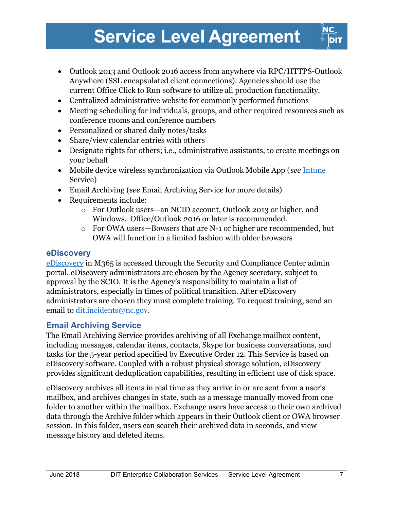- Outlook 2013 and Outlook 2016 access from anywhere via RPC/HTTPS-Outlook Anywhere (SSL encapsulated client connections). Agencies should use the current Office Click to Run software to utilize all production functionality.
- Centralized administrative website for commonly performed functions
- Meeting scheduling for individuals, groups, and other required resources such as conference rooms and conference numbers
- Personalized or shared daily notes/tasks
- Share/view calendar entries with others
- Designate rights for others; i.e., administrative assistants, to create meetings on your behalf
- Mobile device wireless synchronization via Outlook Mobile App (see Intune Service)
- Email Archiving (see Email Archiving Service for more details)
- Requirements include:
	- o For Outlook users—an NCID account, Outlook 2013 or higher, and Windows. Office/Outlook 2016 or later is recommended.
	- o For OWA users—Bowsers that are N-1 or higher are recommended, but OWA will function in a limited fashion with older browsers

#### eDiscovery

eDiscovery in M365 is accessed through the Security and Compliance Center admin portal. eDiscovery administrators are chosen by the Agency secretary, subject to approval by the SCIO. It is the Agency's responsibility to maintain a list of administrators, especially in times of political transition. After eDiscovery administrators are chosen they must complete training. To request training, send an email to dit.incidents@nc.gov.

### Email Archiving Service

The Email Archiving Service provides archiving of all Exchange mailbox content, including messages, calendar items, contacts, Skype for business conversations, and tasks for the 5-year period specified by Executive Order 12. This Service is based on eDiscovery software. Coupled with a robust physical storage solution, eDiscovery provides significant deduplication capabilities, resulting in efficient use of disk space.

eDiscovery archives all items in real time as they arrive in or are sent from a user's mailbox, and archives changes in state, such as a message manually moved from one folder to another within the mailbox. Exchange users have access to their own archived data through the Archive folder which appears in their Outlook client or OWA browser session. In this folder, users can search their archived data in seconds, and view message history and deleted items.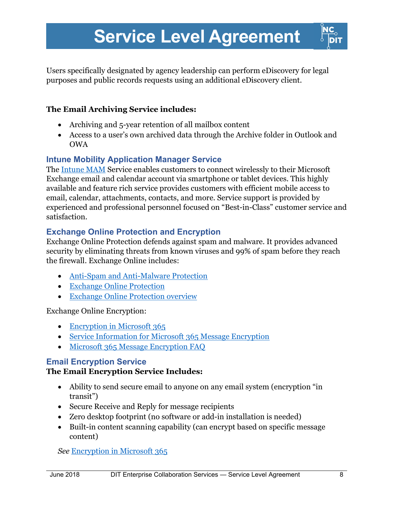Users specifically designated by agency leadership can perform eDiscovery for legal purposes and public records requests using an additional eDiscovery client.

#### The Email Archiving Service includes:

- Archiving and 5-year retention of all mailbox content
- Access to a user's own archived data through the Archive folder in Outlook and OWA

### Intune Mobility Application Manager Service

The Intune MAM Service enables customers to connect wirelessly to their Microsoft Exchange email and calendar account via smartphone or tablet devices. This highly available and feature rich service provides customers with efficient mobile access to email, calendar, attachments, contacts, and more. Service support is provided by experienced and professional personnel focused on "Best-in-Class" customer service and satisfaction.

#### Exchange Online Protection and Encryption

Exchange Online Protection defends against spam and malware. It provides advanced security by eliminating threats from known viruses and 99% of spam before they reach the firewall. Exchange Online includes:

- Anti-Spam and Anti-Malware Protection
- Exchange Online Protection
- Exchange Online Protection overview

Exchange Online Encryption:

- Encryption in Microsoft 365
- Service Information for Microsoft 365 Message Encryption
- Microsoft 365 Message Encryption FAQ

#### Email Encryption Service

#### The Email Encryption Service Includes:

- Ability to send secure email to anyone on any email system (encryption "in transit")
- Secure Receive and Reply for message recipients
- Zero desktop footprint (no software or add-in installation is needed)
- Built-in content scanning capability (can encrypt based on specific message content)

See Encryption in Microsoft 365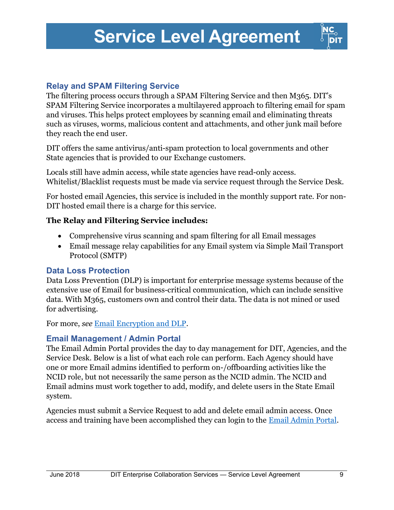

#### Relay and SPAM Filtering Service

The filtering process occurs through a SPAM Filtering Service and then M365. DIT's SPAM Filtering Service incorporates a multilayered approach to filtering email for spam and viruses. This helps protect employees by scanning email and eliminating threats such as viruses, worms, malicious content and attachments, and other junk mail before they reach the end user.

DIT offers the same antivirus/anti-spam protection to local governments and other State agencies that is provided to our Exchange customers.

Locals still have admin access, while state agencies have read-only access. Whitelist/Blacklist requests must be made via service request through the Service Desk.

For hosted email Agencies, this service is included in the monthly support rate. For non-DIT hosted email there is a charge for this service.

#### The Relay and Filtering Service includes:

- Comprehensive virus scanning and spam filtering for all Email messages
- Email message relay capabilities for any Email system via Simple Mail Transport Protocol (SMTP)

#### Data Loss Protection

Data Loss Prevention (DLP) is important for enterprise message systems because of the extensive use of Email for business-critical communication, which can include sensitive data. With M365, customers own and control their data. The data is not mined or used for advertising.

For more, see Email Encryption and DLP.

#### Email Management / Admin Portal

The Email Admin Portal provides the day to day management for DIT, Agencies, and the Service Desk. Below is a list of what each role can perform. Each Agency should have one or more Email admins identified to perform on-/offboarding activities like the NCID role, but not necessarily the same person as the NCID admin. The NCID and Email admins must work together to add, modify, and delete users in the State Email system.

Agencies must submit a Service Request to add and delete email admin access. Once access and training have been accomplished they can login to the Email Admin Portal.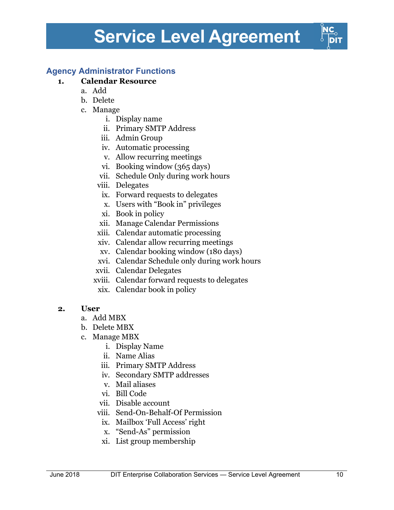### Agency Administrator Functions

#### 1. Calendar Resource

- a. Add
- b. Delete
- c. Manage
	- i. Display name
	- ii. Primary SMTP Address
	- iii. Admin Group
	- iv. Automatic processing
	- v. Allow recurring meetings
	- vi. Booking window (365 days)
	- vii. Schedule Only during work hours
	- viii. Delegates
		- ix. Forward requests to delegates
		- x. Users with "Book in" privileges
	- xi. Book in policy
	- xii. Manage Calendar Permissions
	- xiii. Calendar automatic processing
	- xiv. Calendar allow recurring meetings
	- xv. Calendar booking window (180 days)
	- xvi. Calendar Schedule only during work hours
	- xvii. Calendar Delegates
	- xviii. Calendar forward requests to delegates
	- xix. Calendar book in policy

#### 2. User

- a. Add MBX
- b. Delete MBX
- c. Manage MBX
	- i. Display Name
	- ii. Name Alias
	- iii. Primary SMTP Address
	- iv. Secondary SMTP addresses
	- v. Mail aliases
	- vi. Bill Code
	- vii. Disable account
	- viii. Send-On-Behalf-Of Permission
	- ix. Mailbox 'Full Access' right
	- x. "Send-As" permission
	- xi. List group membership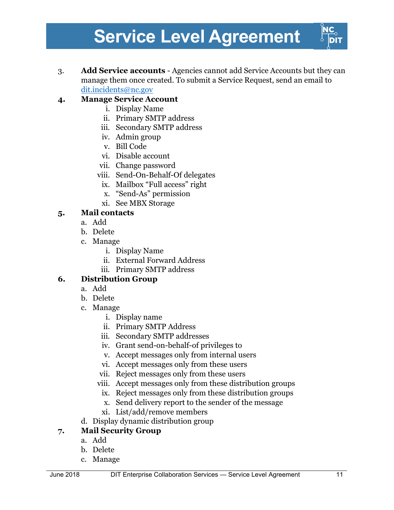3. Add Service accounts - Agencies cannot add Service Accounts but they can manage them once created. To submit a Service Request, send an email to dit.incidents@nc.gov

### 4. Manage Service Account

- i. Display Name
- ii. Primary SMTP address
- iii. Secondary SMTP address
- iv. Admin group
- v. Bill Code
- vi. Disable account
- vii. Change password
- viii. Send-On-Behalf-Of delegates
	- ix. Mailbox "Full access" right
	- x. "Send-As" permission
	- xi. See MBX Storage

#### 5. Mail contacts

- a. Add
- b. Delete
- c. Manage
	- i. Display Name
	- ii. External Forward Address
	- iii. Primary SMTP address

#### 6. Distribution Group

- a. Add
- b. Delete
- c. Manage
	- i. Display name
	- ii. Primary SMTP Address
	- iii. Secondary SMTP addresses
	- iv. Grant send-on-behalf-of privileges to
	- v. Accept messages only from internal users
	- vi. Accept messages only from these users
	- vii. Reject messages only from these users
	- viii. Accept messages only from these distribution groups
	- ix. Reject messages only from these distribution groups
	- x. Send delivery report to the sender of the message
	- xi. List/add/remove members
- d. Display dynamic distribution group

### 7. Mail Security Group

- a. Add
- b. Delete
- c. Manage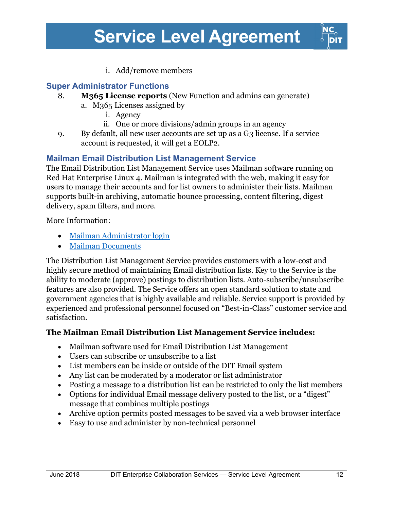

i. Add/remove members

### Super Administrator Functions

- 8. M<sub>365</sub> License reports (New Function and admins can generate) a. M365 Licenses assigned by
	- i. Agency
	- ii. One or more divisions/admin groups in an agency
- 9. By default, all new user accounts are set up as a G3 license. If a service account is requested, it will get a EOLP2.

#### Mailman Email Distribution List Management Service

The Email Distribution List Management Service uses Mailman software running on Red Hat Enterprise Linux 4. Mailman is integrated with the web, making it easy for users to manage their accounts and for list owners to administer their lists. Mailman supports built-in archiving, automatic bounce processing, content filtering, digest delivery, spam filters, and more.

More Information:

- Mailman Administrator login
- Mailman Documents

The Distribution List Management Service provides customers with a low-cost and highly secure method of maintaining Email distribution lists. Key to the Service is the ability to moderate (approve) postings to distribution lists. Auto-subscribe/unsubscribe features are also provided. The Service offers an open standard solution to state and government agencies that is highly available and reliable. Service support is provided by experienced and professional personnel focused on "Best-in-Class" customer service and satisfaction.

#### The Mailman Email Distribution List Management Service includes:

- Mailman software used for Email Distribution List Management
- Users can subscribe or unsubscribe to a list
- List members can be inside or outside of the DIT Email system
- Any list can be moderated by a moderator or list administrator
- Posting a message to a distribution list can be restricted to only the list members
- Options for individual Email message delivery posted to the list, or a "digest" message that combines multiple postings
- Archive option permits posted messages to be saved via a web browser interface
- Easy to use and administer by non-technical personnel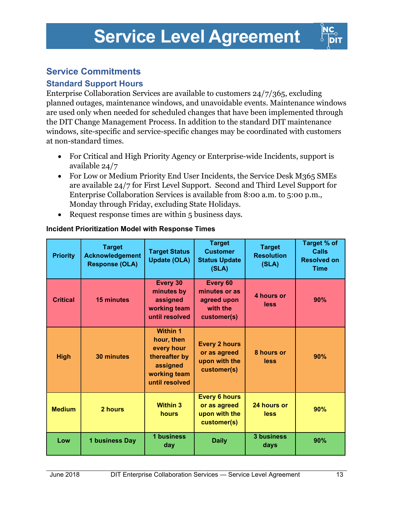

### Service Commitments

### Standard Support Hours

Enterprise Collaboration Services are available to customers 24/7/365, excluding planned outages, maintenance windows, and unavoidable events. Maintenance windows are used only when needed for scheduled changes that have been implemented through the DIT Change Management Process. In addition to the standard DIT maintenance windows, site-specific and service-specific changes may be coordinated with customers at non-standard times.

- For Critical and High Priority Agency or Enterprise-wide Incidents, support is available 24/7
- For Low or Medium Priority End User Incidents, the Service Desk M365 SMEs are available 24/7 for First Level Support. Second and Third Level Support for Enterprise Collaboration Services is available from 8:00 a.m. to 5:00 p.m., Monday through Friday, excluding State Holidays.
- Request response times are within 5 business days.

| <b>Priority</b> | <b>Target</b><br><b>Acknowledgement</b><br><b>Response (OLA)</b> | <b>Target Status</b><br><b>Update (OLA)</b>                                                                | <b>Target</b><br><b>Customer</b><br><b>Status Update</b><br>(SLA)    | <b>Target</b><br><b>Resolution</b><br>(SLA) | Target % of<br><b>Calls</b><br><b>Resolved on</b><br><b>Time</b> |
|-----------------|------------------------------------------------------------------|------------------------------------------------------------------------------------------------------------|----------------------------------------------------------------------|---------------------------------------------|------------------------------------------------------------------|
| <b>Critical</b> | <b>15 minutes</b>                                                | Every 30<br>minutes by<br>assigned<br>working team<br>until resolved                                       | Every 60<br>minutes or as<br>agreed upon<br>with the<br>customer(s)  | 4 hours or<br>less                          | 90%                                                              |
| <b>High</b>     | <b>30 minutes</b>                                                | <b>Within 1</b><br>hour, then<br>every hour<br>thereafter by<br>assigned<br>working team<br>until resolved | <b>Every 2 hours</b><br>or as agreed<br>upon with the<br>customer(s) | 8 hours or<br>less                          | 90%                                                              |
| <b>Medium</b>   | 2 hours                                                          | <b>Within 3</b><br>hours                                                                                   | <b>Every 6 hours</b><br>or as agreed<br>upon with the<br>customer(s) | 24 hours or<br>less                         | 90%                                                              |
| Low             | 1 business Day                                                   | 1 business<br>day                                                                                          | <b>Daily</b>                                                         | <b>3 business</b><br>days                   | 90%                                                              |

#### Incident Prioritization Model with Response Times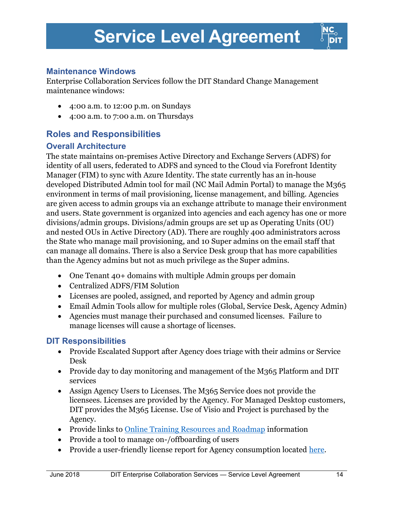

#### Maintenance Windows

Enterprise Collaboration Services follow the DIT Standard Change Management maintenance windows:

- 4:00 a.m. to 12:00 p.m. on Sundays
- 4:00 a.m. to 7:00 a.m. on Thursdays

### Roles and Responsibilities

#### Overall Architecture

The state maintains on-premises Active Directory and Exchange Servers (ADFS) for identity of all users, federated to ADFS and synced to the Cloud via Forefront Identity Manager (FIM) to sync with Azure Identity. The state currently has an in-house developed Distributed Admin tool for mail (NC Mail Admin Portal) to manage the M365 environment in terms of mail provisioning, license management, and billing. Agencies are given access to admin groups via an exchange attribute to manage their environment and users. State government is organized into agencies and each agency has one or more divisions/admin groups. Divisions/admin groups are set up as Operating Units (OU) and nested OUs in Active Directory (AD). There are roughly 400 administrators across the State who manage mail provisioning, and 10 Super admins on the email staff that can manage all domains. There is also a Service Desk group that has more capabilities than the Agency admins but not as much privilege as the Super admins.

- One Tenant 40+ domains with multiple Admin groups per domain
- Centralized ADFS/FIM Solution
- Licenses are pooled, assigned, and reported by Agency and admin group
- Email Admin Tools allow for multiple roles (Global, Service Desk, Agency Admin)
- Agencies must manage their purchased and consumed licenses. Failure to manage licenses will cause a shortage of licenses.

#### DIT Responsibilities

- Provide Escalated Support after Agency does triage with their admins or Service Desk
- Provide day to day monitoring and management of the M365 Platform and DIT services
- Assign Agency Users to Licenses. The M365 Service does not provide the licensees. Licenses are provided by the Agency. For Managed Desktop customers, DIT provides the M365 License. Use of Visio and Project is purchased by the Agency.
- Provide links to Online Training Resources and Roadmap information
- Provide a tool to manage on-/offboarding of users
- Provide a user-friendly license report for Agency consumption located here.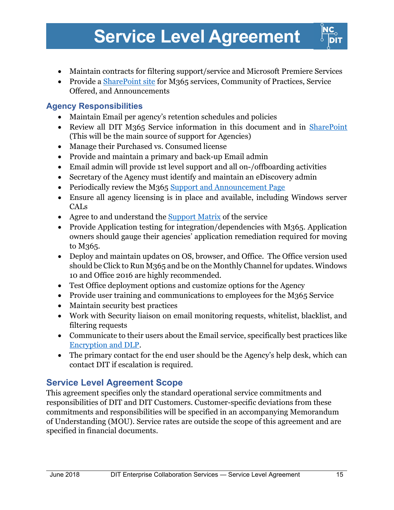- Maintain contracts for filtering support/service and Microsoft Premiere Services
- Provide a **SharePoint site for M365 services, Community of Practices**. Service Offered, and Announcements

### Agency Responsibilities

- Maintain Email per agency's retention schedules and policies
- Review all DIT M365 Service information in this document and in SharePoint (This will be the main source of support for Agencies)
- Manage their Purchased vs. Consumed license
- Provide and maintain a primary and back-up Email admin
- Email admin will provide 1st level support and all on-/offboarding activities
- Secretary of the Agency must identify and maintain an eDiscovery admin
- Periodically review the M365 Support and Announcement Page
- Ensure all agency licensing is in place and available, including Windows server CALs
- Agree to and understand the Support Matrix of the service
- Provide Application testing for integration/dependencies with M365. Application owners should gauge their agencies' application remediation required for moving to M365.
- Deploy and maintain updates on OS, browser, and Office. The Office version used should be Click to Run M365 and be on the Monthly Channel for updates. Windows 10 and Office 2016 are highly recommended.
- Test Office deployment options and customize options for the Agency
- Provide user training and communications to employees for the M365 Service
- Maintain security best practices
- Work with Security liaison on email monitoring requests, whitelist, blacklist, and filtering requests
- Communicate to their users about the Email service, specifically best practices like Encryption and DLP.
- The primary contact for the end user should be the Agency's help desk, which can contact DIT if escalation is required.

### Service Level Agreement Scope

This agreement specifies only the standard operational service commitments and responsibilities of DIT and DIT Customers. Customer-specific deviations from these commitments and responsibilities will be specified in an accompanying Memorandum of Understanding (MOU). Service rates are outside the scope of this agreement and are specified in financial documents.